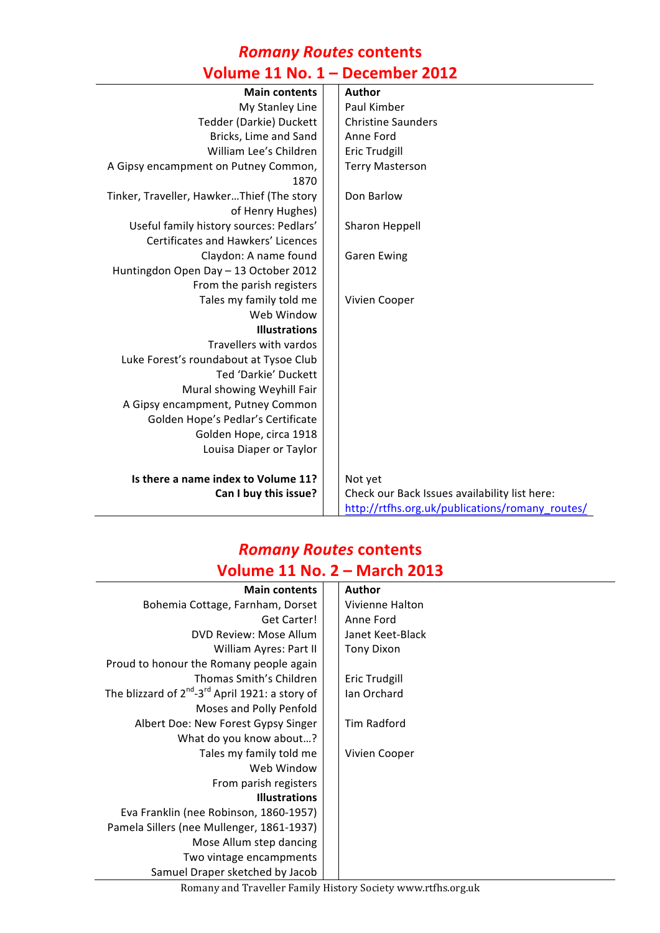# *Romany Routes* **contents**

# **Volume 11 No. 1 – December 2012**

| <b>Main contents</b>                      | <b>Author</b>                                   |
|-------------------------------------------|-------------------------------------------------|
| My Stanley Line                           | Paul Kimber                                     |
| Tedder (Darkie) Duckett                   | <b>Christine Saunders</b>                       |
| Bricks, Lime and Sand                     | Anne Ford                                       |
| William Lee's Children                    | <b>Eric Trudgill</b>                            |
| A Gipsy encampment on Putney Common,      | <b>Terry Masterson</b>                          |
| 1870                                      |                                                 |
| Tinker, Traveller, HawkerThief (The story | Don Barlow                                      |
| of Henry Hughes)                          |                                                 |
| Useful family history sources: Pedlars'   | Sharon Heppell                                  |
| Certificates and Hawkers' Licences        |                                                 |
| Claydon: A name found                     | <b>Garen Ewing</b>                              |
| Huntingdon Open Day - 13 October 2012     |                                                 |
| From the parish registers                 |                                                 |
| Tales my family told me                   | Vivien Cooper                                   |
| Web Window                                |                                                 |
| <b>Illustrations</b>                      |                                                 |
| Travellers with vardos                    |                                                 |
| Luke Forest's roundabout at Tysoe Club    |                                                 |
| Ted 'Darkie' Duckett                      |                                                 |
| Mural showing Weyhill Fair                |                                                 |
| A Gipsy encampment, Putney Common         |                                                 |
| Golden Hope's Pedlar's Certificate        |                                                 |
| Golden Hope, circa 1918                   |                                                 |
| Louisa Diaper or Taylor                   |                                                 |
|                                           |                                                 |
| Is there a name index to Volume 11?       | Not yet                                         |
| Can I buy this issue?                     | Check our Back Issues availability list here:   |
|                                           | http://rtfhs.org.uk/publications/romany_routes/ |

### *Romany Routes* **contents Volume 11 No. 2 – March 2013**

| <b>Main contents</b>                                             | <b>Author</b>     |
|------------------------------------------------------------------|-------------------|
| Bohemia Cottage, Farnham, Dorset                                 | Vivienne Halton   |
| Get Carter!                                                      | Anne Ford         |
| DVD Review: Mose Allum                                           | Janet Keet-Black  |
| William Ayres: Part II                                           | <b>Tony Dixon</b> |
| Proud to honour the Romany people again                          |                   |
| Thomas Smith's Children                                          | Eric Trudgill     |
| The blizzard of $2^{nd}$ -3 <sup>rd</sup> April 1921: a story of | Ian Orchard       |
| Moses and Polly Penfold                                          |                   |
| Albert Doe: New Forest Gypsy Singer                              | Tim Radford       |
| What do you know about?                                          |                   |
| Tales my family told me                                          | Vivien Cooper     |
| Web Window                                                       |                   |
| From parish registers                                            |                   |
| <b>Illustrations</b>                                             |                   |
| Eva Franklin (nee Robinson, 1860-1957)                           |                   |
| Pamela Sillers (nee Mullenger, 1861-1937)                        |                   |
| Mose Allum step dancing                                          |                   |
| Two vintage encampments                                          |                   |
| Samuel Draper sketched by Jacob                                  |                   |
|                                                                  |                   |

 $\mathcal{L}_{\mathcal{A}}$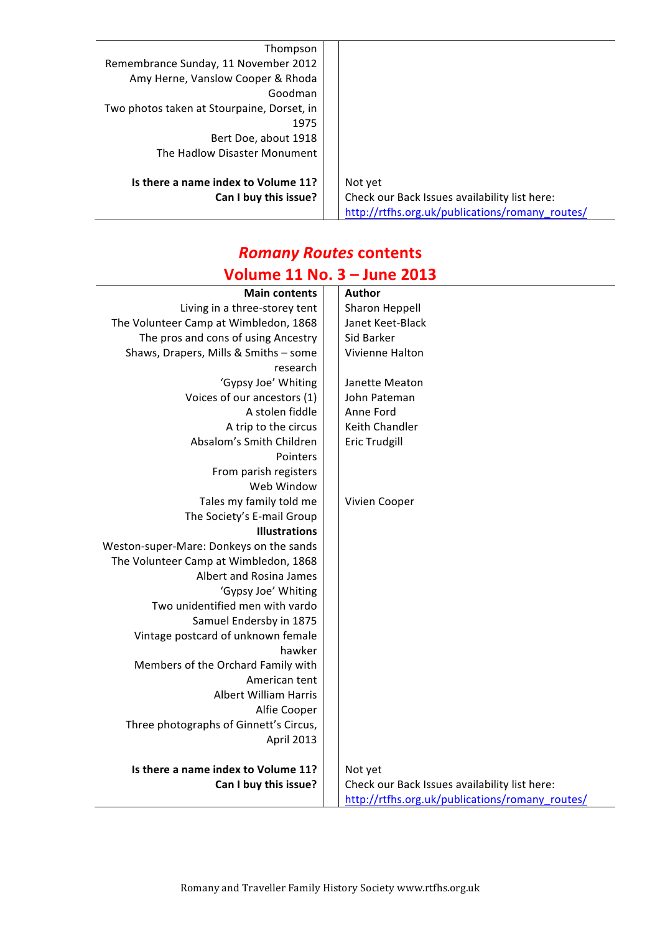| Thompson                                   |                                                 |
|--------------------------------------------|-------------------------------------------------|
| Remembrance Sunday, 11 November 2012       |                                                 |
| Amy Herne, Vanslow Cooper & Rhoda          |                                                 |
| Goodman                                    |                                                 |
| Two photos taken at Stourpaine, Dorset, in |                                                 |
| 1975                                       |                                                 |
| Bert Doe, about 1918                       |                                                 |
| The Hadlow Disaster Monument               |                                                 |
|                                            |                                                 |
| Is there a name index to Volume 11?        | Not yet                                         |
| Can I buy this issue?                      | Check our Back Issues availability list here:   |
|                                            | http://rtfhs.org.uk/publications/romany_routes/ |

#### *Romany Routes* **contents Volume 11 No. 3 – June 2013**

| Author<br><b>Main contents</b><br>Sharon Heppell<br>Living in a three-storey tent<br>The Volunteer Camp at Wimbledon, 1868<br>Janet Keet-Black<br>The pros and cons of using Ancestry<br>Sid Barker<br>Shaws, Drapers, Mills & Smiths - some<br>Vivienne Halton<br>research<br>'Gypsy Joe' Whiting<br>Janette Meaton<br>Voices of our ancestors (1)<br>John Pateman<br>A stolen fiddle<br>Anne Ford<br>A trip to the circus<br>Keith Chandler<br>Absalom's Smith Children<br><b>Eric Trudgill</b><br>Pointers<br>From parish registers<br>Web Window<br>Tales my family told me<br>Vivien Cooper<br>The Society's E-mail Group<br><b>Illustrations</b><br>Weston-super-Mare: Donkeys on the sands<br>The Volunteer Camp at Wimbledon, 1868<br>Albert and Rosina James<br>'Gypsy Joe' Whiting<br>Two unidentified men with vardo<br>Samuel Endersby in 1875<br>Vintage postcard of unknown female<br>hawker<br>Members of the Orchard Family with<br>American tent<br><b>Albert William Harris</b><br>Alfie Cooper<br>Three photographs of Ginnett's Circus,<br>April 2013<br>Is there a name index to Volume 11?<br>Not yet<br>Can I buy this issue?<br>Check our Back Issues availability list here:<br>http://rtfhs.org.uk/publications/romany_routes/ | .<br>JUIIL LUIJ |  |  |  |
|----------------------------------------------------------------------------------------------------------------------------------------------------------------------------------------------------------------------------------------------------------------------------------------------------------------------------------------------------------------------------------------------------------------------------------------------------------------------------------------------------------------------------------------------------------------------------------------------------------------------------------------------------------------------------------------------------------------------------------------------------------------------------------------------------------------------------------------------------------------------------------------------------------------------------------------------------------------------------------------------------------------------------------------------------------------------------------------------------------------------------------------------------------------------------------------------------------------------------------------------------------|-----------------|--|--|--|
|                                                                                                                                                                                                                                                                                                                                                                                                                                                                                                                                                                                                                                                                                                                                                                                                                                                                                                                                                                                                                                                                                                                                                                                                                                                          |                 |  |  |  |
|                                                                                                                                                                                                                                                                                                                                                                                                                                                                                                                                                                                                                                                                                                                                                                                                                                                                                                                                                                                                                                                                                                                                                                                                                                                          |                 |  |  |  |
|                                                                                                                                                                                                                                                                                                                                                                                                                                                                                                                                                                                                                                                                                                                                                                                                                                                                                                                                                                                                                                                                                                                                                                                                                                                          |                 |  |  |  |
|                                                                                                                                                                                                                                                                                                                                                                                                                                                                                                                                                                                                                                                                                                                                                                                                                                                                                                                                                                                                                                                                                                                                                                                                                                                          |                 |  |  |  |
|                                                                                                                                                                                                                                                                                                                                                                                                                                                                                                                                                                                                                                                                                                                                                                                                                                                                                                                                                                                                                                                                                                                                                                                                                                                          |                 |  |  |  |
|                                                                                                                                                                                                                                                                                                                                                                                                                                                                                                                                                                                                                                                                                                                                                                                                                                                                                                                                                                                                                                                                                                                                                                                                                                                          |                 |  |  |  |
|                                                                                                                                                                                                                                                                                                                                                                                                                                                                                                                                                                                                                                                                                                                                                                                                                                                                                                                                                                                                                                                                                                                                                                                                                                                          |                 |  |  |  |
|                                                                                                                                                                                                                                                                                                                                                                                                                                                                                                                                                                                                                                                                                                                                                                                                                                                                                                                                                                                                                                                                                                                                                                                                                                                          |                 |  |  |  |
|                                                                                                                                                                                                                                                                                                                                                                                                                                                                                                                                                                                                                                                                                                                                                                                                                                                                                                                                                                                                                                                                                                                                                                                                                                                          |                 |  |  |  |
|                                                                                                                                                                                                                                                                                                                                                                                                                                                                                                                                                                                                                                                                                                                                                                                                                                                                                                                                                                                                                                                                                                                                                                                                                                                          |                 |  |  |  |
|                                                                                                                                                                                                                                                                                                                                                                                                                                                                                                                                                                                                                                                                                                                                                                                                                                                                                                                                                                                                                                                                                                                                                                                                                                                          |                 |  |  |  |
|                                                                                                                                                                                                                                                                                                                                                                                                                                                                                                                                                                                                                                                                                                                                                                                                                                                                                                                                                                                                                                                                                                                                                                                                                                                          |                 |  |  |  |
|                                                                                                                                                                                                                                                                                                                                                                                                                                                                                                                                                                                                                                                                                                                                                                                                                                                                                                                                                                                                                                                                                                                                                                                                                                                          |                 |  |  |  |
|                                                                                                                                                                                                                                                                                                                                                                                                                                                                                                                                                                                                                                                                                                                                                                                                                                                                                                                                                                                                                                                                                                                                                                                                                                                          |                 |  |  |  |
|                                                                                                                                                                                                                                                                                                                                                                                                                                                                                                                                                                                                                                                                                                                                                                                                                                                                                                                                                                                                                                                                                                                                                                                                                                                          |                 |  |  |  |
|                                                                                                                                                                                                                                                                                                                                                                                                                                                                                                                                                                                                                                                                                                                                                                                                                                                                                                                                                                                                                                                                                                                                                                                                                                                          |                 |  |  |  |
|                                                                                                                                                                                                                                                                                                                                                                                                                                                                                                                                                                                                                                                                                                                                                                                                                                                                                                                                                                                                                                                                                                                                                                                                                                                          |                 |  |  |  |
|                                                                                                                                                                                                                                                                                                                                                                                                                                                                                                                                                                                                                                                                                                                                                                                                                                                                                                                                                                                                                                                                                                                                                                                                                                                          |                 |  |  |  |
|                                                                                                                                                                                                                                                                                                                                                                                                                                                                                                                                                                                                                                                                                                                                                                                                                                                                                                                                                                                                                                                                                                                                                                                                                                                          |                 |  |  |  |
|                                                                                                                                                                                                                                                                                                                                                                                                                                                                                                                                                                                                                                                                                                                                                                                                                                                                                                                                                                                                                                                                                                                                                                                                                                                          |                 |  |  |  |
|                                                                                                                                                                                                                                                                                                                                                                                                                                                                                                                                                                                                                                                                                                                                                                                                                                                                                                                                                                                                                                                                                                                                                                                                                                                          |                 |  |  |  |
|                                                                                                                                                                                                                                                                                                                                                                                                                                                                                                                                                                                                                                                                                                                                                                                                                                                                                                                                                                                                                                                                                                                                                                                                                                                          |                 |  |  |  |
|                                                                                                                                                                                                                                                                                                                                                                                                                                                                                                                                                                                                                                                                                                                                                                                                                                                                                                                                                                                                                                                                                                                                                                                                                                                          |                 |  |  |  |
|                                                                                                                                                                                                                                                                                                                                                                                                                                                                                                                                                                                                                                                                                                                                                                                                                                                                                                                                                                                                                                                                                                                                                                                                                                                          |                 |  |  |  |
|                                                                                                                                                                                                                                                                                                                                                                                                                                                                                                                                                                                                                                                                                                                                                                                                                                                                                                                                                                                                                                                                                                                                                                                                                                                          |                 |  |  |  |
|                                                                                                                                                                                                                                                                                                                                                                                                                                                                                                                                                                                                                                                                                                                                                                                                                                                                                                                                                                                                                                                                                                                                                                                                                                                          |                 |  |  |  |
|                                                                                                                                                                                                                                                                                                                                                                                                                                                                                                                                                                                                                                                                                                                                                                                                                                                                                                                                                                                                                                                                                                                                                                                                                                                          |                 |  |  |  |
|                                                                                                                                                                                                                                                                                                                                                                                                                                                                                                                                                                                                                                                                                                                                                                                                                                                                                                                                                                                                                                                                                                                                                                                                                                                          |                 |  |  |  |
|                                                                                                                                                                                                                                                                                                                                                                                                                                                                                                                                                                                                                                                                                                                                                                                                                                                                                                                                                                                                                                                                                                                                                                                                                                                          |                 |  |  |  |
|                                                                                                                                                                                                                                                                                                                                                                                                                                                                                                                                                                                                                                                                                                                                                                                                                                                                                                                                                                                                                                                                                                                                                                                                                                                          |                 |  |  |  |
|                                                                                                                                                                                                                                                                                                                                                                                                                                                                                                                                                                                                                                                                                                                                                                                                                                                                                                                                                                                                                                                                                                                                                                                                                                                          |                 |  |  |  |
|                                                                                                                                                                                                                                                                                                                                                                                                                                                                                                                                                                                                                                                                                                                                                                                                                                                                                                                                                                                                                                                                                                                                                                                                                                                          |                 |  |  |  |
|                                                                                                                                                                                                                                                                                                                                                                                                                                                                                                                                                                                                                                                                                                                                                                                                                                                                                                                                                                                                                                                                                                                                                                                                                                                          |                 |  |  |  |
|                                                                                                                                                                                                                                                                                                                                                                                                                                                                                                                                                                                                                                                                                                                                                                                                                                                                                                                                                                                                                                                                                                                                                                                                                                                          |                 |  |  |  |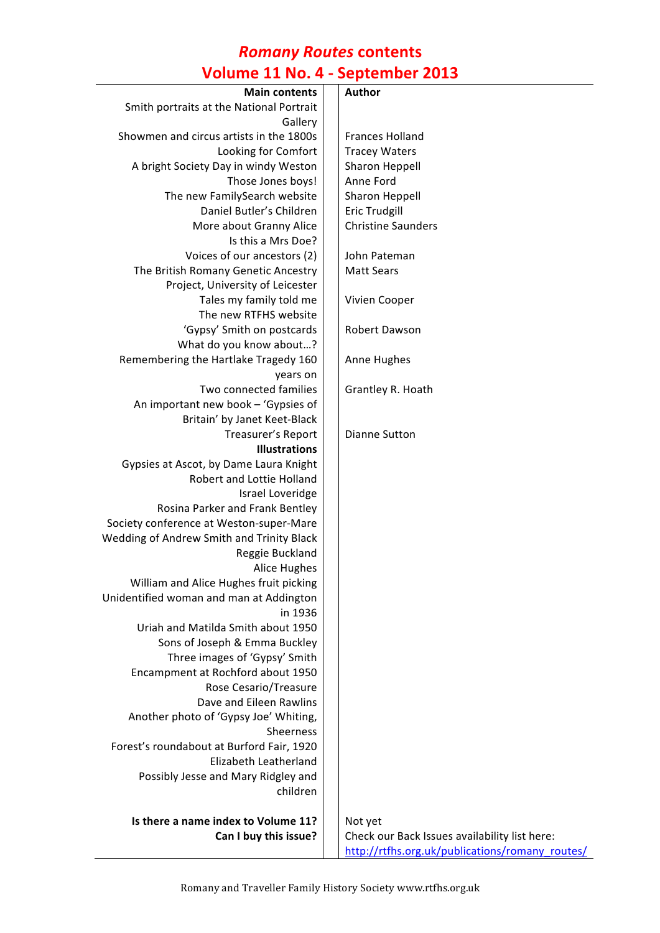## *Romany Routes* **contents Volume 11 No. 4 - September 2013**

| <b>Main contents</b>                      |                                                 |
|-------------------------------------------|-------------------------------------------------|
|                                           | Author                                          |
| Smith portraits at the National Portrait  |                                                 |
| Gallery                                   |                                                 |
| Showmen and circus artists in the 1800s   | <b>Frances Holland</b>                          |
| Looking for Comfort                       | <b>Tracey Waters</b>                            |
| A bright Society Day in windy Weston      | Sharon Heppell                                  |
| Those Jones boys!                         | Anne Ford                                       |
| The new FamilySearch website              | Sharon Heppell                                  |
| Daniel Butler's Children                  | <b>Eric Trudgill</b>                            |
| More about Granny Alice                   | <b>Christine Saunders</b>                       |
| Is this a Mrs Doe?                        |                                                 |
| Voices of our ancestors (2)               | John Pateman                                    |
| The British Romany Genetic Ancestry       | <b>Matt Sears</b>                               |
| Project, University of Leicester          |                                                 |
| Tales my family told me                   | Vivien Cooper                                   |
| The new RTFHS website                     |                                                 |
| 'Gypsy' Smith on postcards                | Robert Dawson                                   |
| What do you know about?                   |                                                 |
| Remembering the Hartlake Tragedy 160      | Anne Hughes                                     |
| years on                                  |                                                 |
| Two connected families                    | Grantley R. Hoath                               |
| An important new book - 'Gypsies of       |                                                 |
| Britain' by Janet Keet-Black              |                                                 |
| Treasurer's Report                        | <b>Dianne Sutton</b>                            |
| <b>Illustrations</b>                      |                                                 |
| Gypsies at Ascot, by Dame Laura Knight    |                                                 |
| Robert and Lottie Holland                 |                                                 |
| Israel Loveridge                          |                                                 |
| Rosina Parker and Frank Bentley           |                                                 |
| Society conference at Weston-super-Mare   |                                                 |
| Wedding of Andrew Smith and Trinity Black |                                                 |
| Reggie Buckland                           |                                                 |
| <b>Alice Hughes</b>                       |                                                 |
| William and Alice Hughes fruit picking    |                                                 |
| Unidentified woman and man at Addington   |                                                 |
| in 1936                                   |                                                 |
| Uriah and Matilda Smith about 1950        |                                                 |
| Sons of Joseph & Emma Buckley             |                                                 |
| Three images of 'Gypsy' Smith             |                                                 |
| Encampment at Rochford about 1950         |                                                 |
| Rose Cesario/Treasure                     |                                                 |
| Dave and Eileen Rawlins                   |                                                 |
| Another photo of 'Gypsy Joe' Whiting,     |                                                 |
| Sheerness                                 |                                                 |
| Forest's roundabout at Burford Fair, 1920 |                                                 |
| Elizabeth Leatherland                     |                                                 |
| Possibly Jesse and Mary Ridgley and       |                                                 |
| children                                  |                                                 |
| Is there a name index to Volume 11?       | Not yet                                         |
| Can I buy this issue?                     | Check our Back Issues availability list here:   |
|                                           | http://rtfhs.org.uk/publications/romany_routes/ |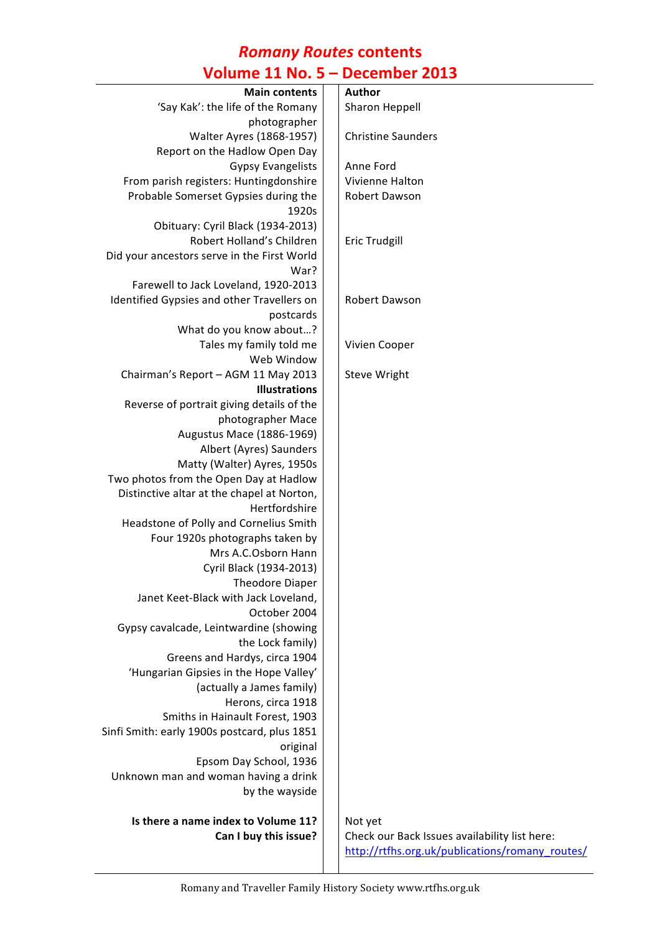#### *Romany Routes* **contents Volume 11 No. 5 – December 2013**

| <b>OINING TT IAN' A</b>                      | DECENINEL CATA                                  |
|----------------------------------------------|-------------------------------------------------|
| <b>Main contents</b>                         | <b>Author</b>                                   |
| 'Say Kak': the life of the Romany            | Sharon Heppell                                  |
| photographer                                 |                                                 |
| Walter Ayres (1868-1957)                     | <b>Christine Saunders</b>                       |
| Report on the Hadlow Open Day                |                                                 |
| <b>Gypsy Evangelists</b>                     | Anne Ford                                       |
| From parish registers: Huntingdonshire       | Vivienne Halton                                 |
| Probable Somerset Gypsies during the         | Robert Dawson                                   |
| 1920s                                        |                                                 |
| Obituary: Cyril Black (1934-2013)            |                                                 |
| Robert Holland's Children                    | <b>Eric Trudgill</b>                            |
| Did your ancestors serve in the First World  |                                                 |
| War?                                         |                                                 |
| Farewell to Jack Loveland, 1920-2013         |                                                 |
| Identified Gypsies and other Travellers on   | Robert Dawson                                   |
| postcards                                    |                                                 |
| What do you know about?                      |                                                 |
| Tales my family told me                      | Vivien Cooper                                   |
| Web Window                                   |                                                 |
| Chairman's Report - AGM 11 May 2013          | Steve Wright                                    |
| <b>Illustrations</b>                         |                                                 |
| Reverse of portrait giving details of the    |                                                 |
| photographer Mace                            |                                                 |
| Augustus Mace (1886-1969)                    |                                                 |
| Albert (Ayres) Saunders                      |                                                 |
| Matty (Walter) Ayres, 1950s                  |                                                 |
| Two photos from the Open Day at Hadlow       |                                                 |
| Distinctive altar at the chapel at Norton,   |                                                 |
| Hertfordshire                                |                                                 |
| Headstone of Polly and Cornelius Smith       |                                                 |
| Four 1920s photographs taken by              |                                                 |
| Mrs A.C.Osborn Hann                          |                                                 |
| Cyril Black (1934-2013)                      |                                                 |
| <b>Theodore Diaper</b>                       |                                                 |
| Janet Keet-Black with Jack Loveland,         |                                                 |
| October 2004                                 |                                                 |
| Gypsy cavalcade, Leintwardine (showing       |                                                 |
| the Lock family)                             |                                                 |
| Greens and Hardys, circa 1904                |                                                 |
| 'Hungarian Gipsies in the Hope Valley'       |                                                 |
| (actually a James family)                    |                                                 |
| Herons, circa 1918                           |                                                 |
| Smiths in Hainault Forest, 1903              |                                                 |
| Sinfi Smith: early 1900s postcard, plus 1851 |                                                 |
| original                                     |                                                 |
| Epsom Day School, 1936                       |                                                 |
| Unknown man and woman having a drink         |                                                 |
| by the wayside                               |                                                 |
| Is there a name index to Volume 11?          | Not yet                                         |
| Can I buy this issue?                        | Check our Back Issues availability list here:   |
|                                              | http://rtfhs.org.uk/publications/romany_routes/ |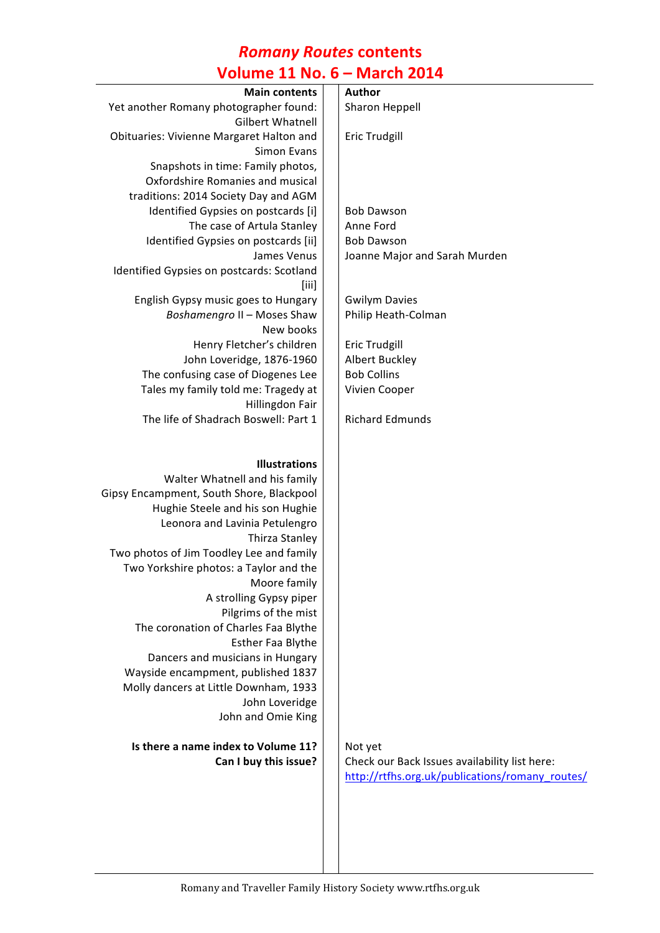### *Romany Routes* **contents Volume 11 No. 6 – March 2014**

| <b>Main contents</b>                                            | Author                                          |
|-----------------------------------------------------------------|-------------------------------------------------|
| Yet another Romany photographer found:                          | <b>Sharon Heppell</b>                           |
| <b>Gilbert Whatnell</b>                                         |                                                 |
| Obituaries: Vivienne Margaret Halton and                        | <b>Eric Trudgill</b>                            |
| <b>Simon Evans</b>                                              |                                                 |
| Snapshots in time: Family photos,                               |                                                 |
| Oxfordshire Romanies and musical                                |                                                 |
| traditions: 2014 Society Day and AGM                            |                                                 |
| Identified Gypsies on postcards [i]                             | <b>Bob Dawson</b>                               |
| The case of Artula Stanley                                      | Anne Ford                                       |
| Identified Gypsies on postcards [ii]                            | <b>Bob Dawson</b>                               |
| James Venus                                                     | Joanne Major and Sarah Murden                   |
| Identified Gypsies on postcards: Scotland                       |                                                 |
| [iii]                                                           |                                                 |
| English Gypsy music goes to Hungary                             | <b>Gwilym Davies</b>                            |
| Boshamengro II - Moses Shaw                                     | Philip Heath-Colman                             |
| New books                                                       |                                                 |
| Henry Fletcher's children                                       | <b>Eric Trudgill</b>                            |
|                                                                 |                                                 |
| John Loveridge, 1876-1960<br>The confusing case of Diogenes Lee | <b>Albert Buckley</b><br><b>Bob Collins</b>     |
|                                                                 |                                                 |
| Tales my family told me: Tragedy at                             | Vivien Cooper                                   |
| Hillingdon Fair                                                 |                                                 |
| The life of Shadrach Boswell: Part 1                            | <b>Richard Edmunds</b>                          |
|                                                                 |                                                 |
| <b>Illustrations</b>                                            |                                                 |
| Walter Whatnell and his family                                  |                                                 |
|                                                                 |                                                 |
| Gipsy Encampment, South Shore, Blackpool                        |                                                 |
| Hughie Steele and his son Hughie                                |                                                 |
| Leonora and Lavinia Petulengro                                  |                                                 |
| Thirza Stanley                                                  |                                                 |
| Two photos of Jim Toodley Lee and family                        |                                                 |
| Two Yorkshire photos: a Taylor and the                          |                                                 |
| Moore family                                                    |                                                 |
| A strolling Gypsy piper                                         |                                                 |
| Pilgrims of the mist                                            |                                                 |
| The coronation of Charles Faa Blythe                            |                                                 |
| Esther Faa Blythe                                               |                                                 |
| Dancers and musicians in Hungary                                |                                                 |
| Wayside encampment, published 1837                              |                                                 |
| Molly dancers at Little Downham, 1933                           |                                                 |
| John Loveridge                                                  |                                                 |
| John and Omie King                                              |                                                 |
|                                                                 |                                                 |
| Is there a name index to Volume 11?                             | Not yet                                         |
| Can I buy this issue?                                           | Check our Back Issues availability list here:   |
|                                                                 | http://rtfhs.org.uk/publications/romany_routes/ |
|                                                                 |                                                 |
|                                                                 |                                                 |
|                                                                 |                                                 |
|                                                                 |                                                 |
|                                                                 |                                                 |
|                                                                 |                                                 |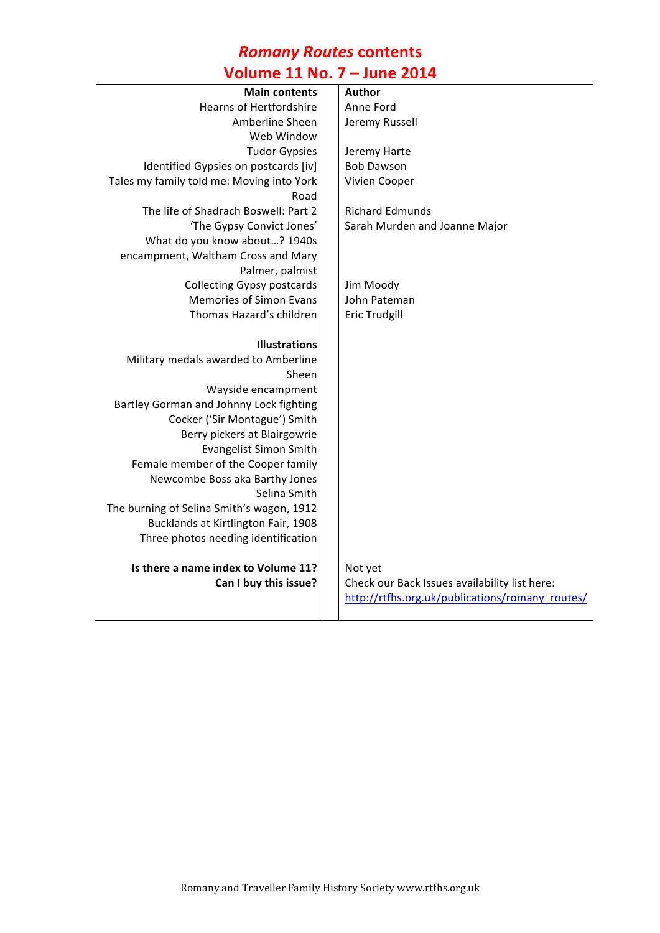## *Romany Routes* **contents**

# **Volume 11 No. 7 – June 2014**

| <b>Main contents</b>                      | Author                                          |
|-------------------------------------------|-------------------------------------------------|
| <b>Hearns of Hertfordshire</b>            | Anne Ford                                       |
| Amberline Sheen                           | Jeremy Russell                                  |
| Web Window                                |                                                 |
| <b>Tudor Gypsies</b>                      | Jeremy Harte                                    |
| Identified Gypsies on postcards [iv]      | <b>Bob Dawson</b>                               |
| Tales my family told me: Moving into York | Vivien Cooper                                   |
| Road                                      |                                                 |
| The life of Shadrach Boswell: Part 2      | <b>Richard Edmunds</b>                          |
| 'The Gypsy Convict Jones'                 | Sarah Murden and Joanne Major                   |
| What do you know about? 1940s             |                                                 |
| encampment, Waltham Cross and Mary        |                                                 |
| Palmer, palmist                           |                                                 |
| <b>Collecting Gypsy postcards</b>         | Jim Moody                                       |
| <b>Memories of Simon Evans</b>            | John Pateman                                    |
| Thomas Hazard's children                  | <b>Eric Trudgill</b>                            |
|                                           |                                                 |
| <b>Illustrations</b>                      |                                                 |
| Military medals awarded to Amberline      |                                                 |
| Sheen                                     |                                                 |
| Wayside encampment                        |                                                 |
| Bartley Gorman and Johnny Lock fighting   |                                                 |
| Cocker ('Sir Montague') Smith             |                                                 |
| Berry pickers at Blairgowrie              |                                                 |
| <b>Evangelist Simon Smith</b>             |                                                 |
| Female member of the Cooper family        |                                                 |
| Newcombe Boss aka Barthy Jones            |                                                 |
| Selina Smith                              |                                                 |
| The burning of Selina Smith's wagon, 1912 |                                                 |
| Bucklands at Kirtlington Fair, 1908       |                                                 |
| Three photos needing identification       |                                                 |
| Is there a name index to Volume 11?       | Not yet                                         |
| Can I buy this issue?                     | Check our Back Issues availability list here:   |
|                                           | http://rtfhs.org.uk/publications/romany_routes/ |
|                                           |                                                 |